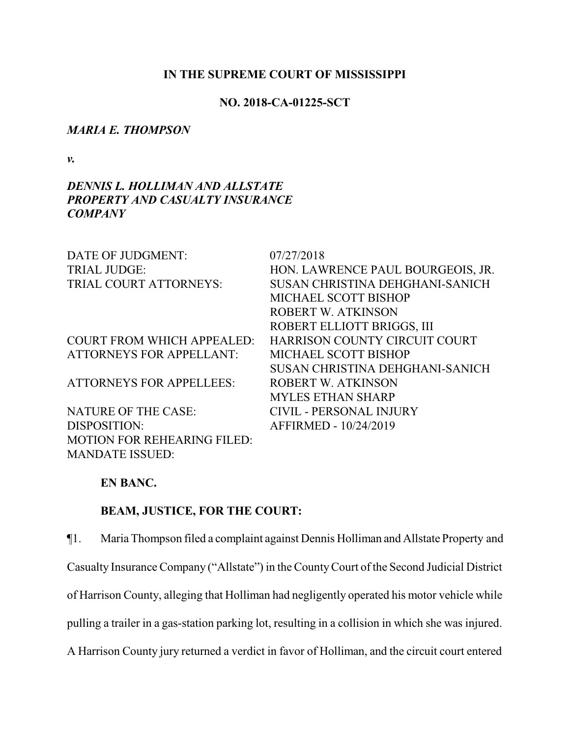### **IN THE SUPREME COURT OF MISSISSIPPI**

### **NO. 2018-CA-01225-SCT**

### *MARIA E. THOMPSON*

*v.*

# *DENNIS L. HOLLIMAN AND ALLSTATE PROPERTY AND CASUALTY INSURANCE COMPANY*

| DATE OF JUDGMENT:                  | 07/27/2018                             |
|------------------------------------|----------------------------------------|
| <b>TRIAL JUDGE:</b>                | HON. LAWRENCE PAUL BOURGEOIS, JR.      |
| TRIAL COURT ATTORNEYS:             | <b>SUSAN CHRISTINA DEHGHANI-SANICH</b> |
|                                    | MICHAEL SCOTT BISHOP                   |
|                                    | <b>ROBERT W. ATKINSON</b>              |
|                                    | ROBERT ELLIOTT BRIGGS, III             |
| <b>COURT FROM WHICH APPEALED:</b>  | HARRISON COUNTY CIRCUIT COURT          |
| <b>ATTORNEYS FOR APPELLANT:</b>    | MICHAEL SCOTT BISHOP                   |
|                                    | <b>SUSAN CHRISTINA DEHGHANI-SANICH</b> |
| <b>ATTORNEYS FOR APPELLEES:</b>    | ROBERT W. ATKINSON                     |
|                                    | <b>MYLES ETHAN SHARP</b>               |
| <b>NATURE OF THE CASE:</b>         | <b>CIVIL - PERSONAL INJURY</b>         |
| DISPOSITION:                       | AFFIRMED - 10/24/2019                  |
| <b>MOTION FOR REHEARING FILED:</b> |                                        |
| <b>MANDATE ISSUED:</b>             |                                        |

# **EN BANC.**

## **BEAM, JUSTICE, FOR THE COURT:**

¶1. Maria Thompson filed a complaint against Dennis Holliman and Allstate Property and Casualty Insurance Company ("Allstate") in the CountyCourt of the Second Judicial District of Harrison County, alleging that Holliman had negligently operated his motor vehicle while pulling a trailer in a gas-station parking lot, resulting in a collision in which she was injured.

A Harrison County jury returned a verdict in favor of Holliman, and the circuit court entered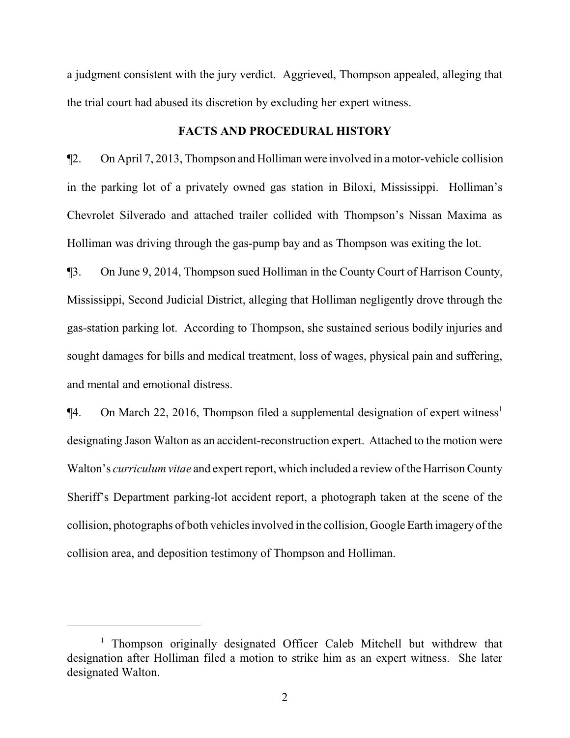a judgment consistent with the jury verdict. Aggrieved, Thompson appealed, alleging that the trial court had abused its discretion by excluding her expert witness.

#### **FACTS AND PROCEDURAL HISTORY**

¶2. On April 7, 2013, Thompson and Holliman were involved in amotor-vehicle collision in the parking lot of a privately owned gas station in Biloxi, Mississippi. Holliman's Chevrolet Silverado and attached trailer collided with Thompson's Nissan Maxima as Holliman was driving through the gas-pump bay and as Thompson was exiting the lot.

¶3. On June 9, 2014, Thompson sued Holliman in the County Court of Harrison County, Mississippi, Second Judicial District, alleging that Holliman negligently drove through the gas-station parking lot. According to Thompson, she sustained serious bodily injuries and sought damages for bills and medical treatment, loss of wages, physical pain and suffering, and mental and emotional distress.

¶4. On March 22, 2016, Thompson filed a supplemental designation of expert witness 1 designating Jason Walton as an accident-reconstruction expert. Attached to the motion were Walton's *curriculum vitae* and expert report, which included a review ofthe Harrison County Sheriff's Department parking-lot accident report, a photograph taken at the scene of the collision, photographs of both vehicles involved in the collision, Google Earth imagery of the collision area, and deposition testimony of Thompson and Holliman.

<sup>&</sup>lt;sup>1</sup> Thompson originally designated Officer Caleb Mitchell but withdrew that designation after Holliman filed a motion to strike him as an expert witness. She later designated Walton.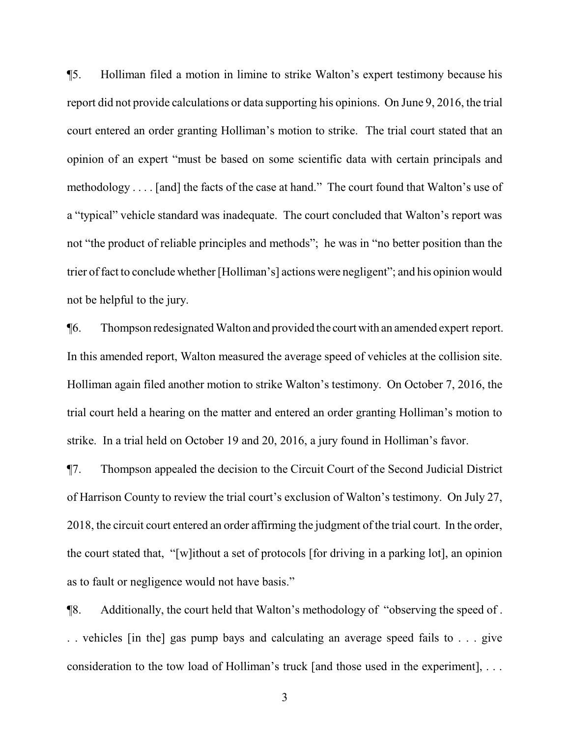¶5. Holliman filed a motion in limine to strike Walton's expert testimony because his report did not provide calculations or data supporting his opinions. On June 9, 2016, the trial court entered an order granting Holliman's motion to strike. The trial court stated that an opinion of an expert "must be based on some scientific data with certain principals and methodology . . . . [and] the facts of the case at hand." The court found that Walton's use of a "typical" vehicle standard was inadequate. The court concluded that Walton's report was not "the product of reliable principles and methods"; he was in "no better position than the trier offact to conclude whether [Holliman's] actions were negligent"; and his opinion would not be helpful to the jury.

¶6. Thompson redesignated Walton and provided the courtwith an amended expert report. In this amended report, Walton measured the average speed of vehicles at the collision site. Holliman again filed another motion to strike Walton's testimony. On October 7, 2016, the trial court held a hearing on the matter and entered an order granting Holliman's motion to strike. In a trial held on October 19 and 20, 2016, a jury found in Holliman's favor.

¶7. Thompson appealed the decision to the Circuit Court of the Second Judicial District of Harrison County to review the trial court's exclusion of Walton's testimony. On July 27, 2018, the circuit court entered an order affirming the judgment of the trial court. In the order, the court stated that, "[w]ithout a set of protocols [for driving in a parking lot], an opinion as to fault or negligence would not have basis."

¶8. Additionally, the court held that Walton's methodology of "observing the speed of . . . vehicles [in the] gas pump bays and calculating an average speed fails to . . . give consideration to the tow load of Holliman's truck [and those used in the experiment], . . .

3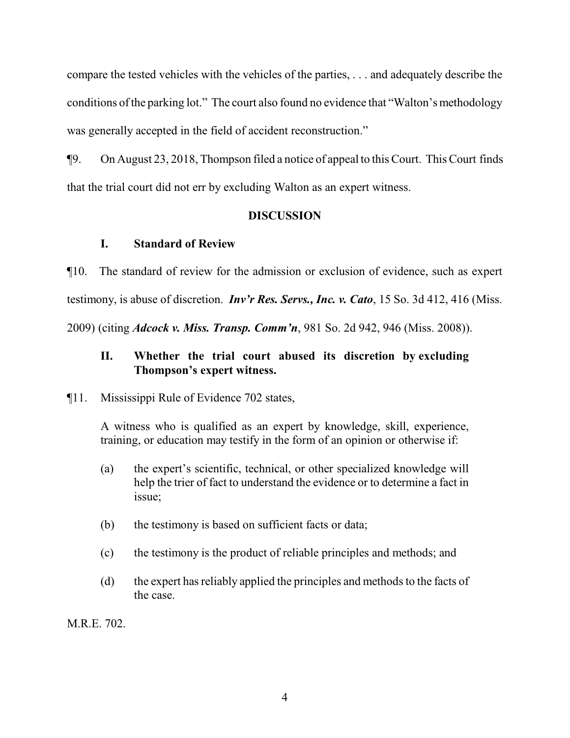compare the tested vehicles with the vehicles of the parties, . . . and adequately describe the conditions of the parking lot." The court also found no evidence that "Walton's methodology was generally accepted in the field of accident reconstruction."

¶9. On August 23, 2018, Thompson filed a notice of appeal to this Court. This Court finds that the trial court did not err by excluding Walton as an expert witness.

# **DISCUSSION**

# **I. Standard of Review**

¶10. The standard of review for the admission or exclusion of evidence, such as expert testimony, is abuse of discretion. *Inv'r Res. Servs., Inc. v. Cato*, 15 So. 3d 412, 416 (Miss. 2009) (citing *Adcock v. Miss. Transp. Comm'n*, 981 So. 2d 942, 946 (Miss. 2008)).

# **II. Whether the trial court abused its discretion by excluding Thompson's expert witness.**

# ¶11. Mississippi Rule of Evidence 702 states,

A witness who is qualified as an expert by knowledge, skill, experience, training, or education may testify in the form of an opinion or otherwise if:

- (a) the expert's scientific, technical, or other specialized knowledge will help the trier of fact to understand the evidence or to determine a fact in issue;
- (b) the testimony is based on sufficient facts or data;
- (c) the testimony is the product of reliable principles and methods; and
- (d) the expert hasreliably applied the principles and methods to the facts of the case.

M.R.E. 702.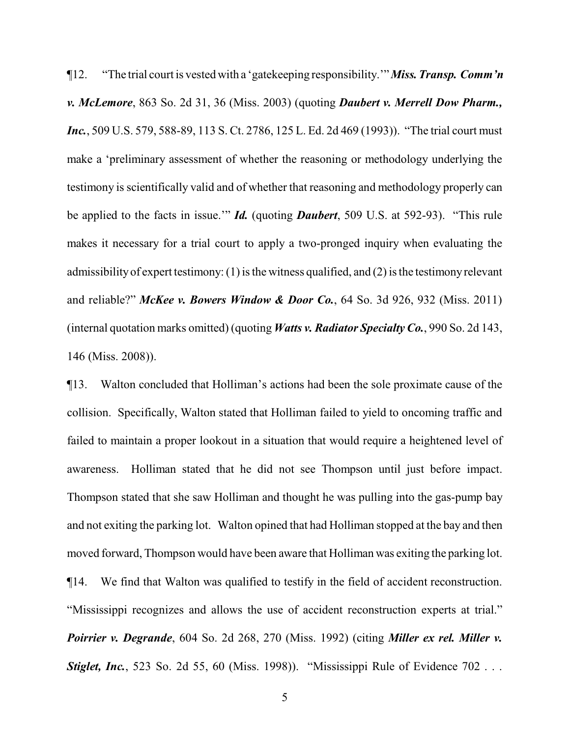¶12. "The trial court is vested with a 'gatekeeping responsibility.'"*Miss.Transp. Comm'n v. McLemore*, 863 So. 2d 31, 36 (Miss. 2003) (quoting *Daubert v. Merrell Dow Pharm., Inc.*, 509 U.S. 579, 588-89, 113 S. Ct. 2786, 125 L. Ed. 2d 469 (1993)). "The trial court must make a 'preliminary assessment of whether the reasoning or methodology underlying the testimony is scientifically valid and of whether that reasoning and methodology properly can be applied to the facts in issue.'" *Id.* (quoting *Daubert*, 509 U.S. at 592-93). "This rule makes it necessary for a trial court to apply a two-pronged inquiry when evaluating the admissibilityof expert testimony: (1) is the witness qualified, and (2) is the testimonyrelevant and reliable?" *McKee v. Bowers Window & Door Co.*, 64 So. 3d 926, 932 (Miss. 2011) (internal quotation marks omitted) (quoting *Watts v. Radiator SpecialtyCo.*, 990 So. 2d 143, 146 (Miss. 2008)).

¶13. Walton concluded that Holliman's actions had been the sole proximate cause of the collision. Specifically, Walton stated that Holliman failed to yield to oncoming traffic and failed to maintain a proper lookout in a situation that would require a heightened level of awareness. Holliman stated that he did not see Thompson until just before impact. Thompson stated that she saw Holliman and thought he was pulling into the gas-pump bay and not exiting the parking lot. Walton opined that had Holliman stopped at the bay and then moved forward, Thompson would have been aware that Holliman was exiting the parking lot. ¶14. We find that Walton was qualified to testify in the field of accident reconstruction. "Mississippi recognizes and allows the use of accident reconstruction experts at trial." *Poirrier v. Degrande*, 604 So. 2d 268, 270 (Miss. 1992) (citing *Miller ex rel. Miller v. Stiglet, Inc.*, 523 So. 2d 55, 60 (Miss. 1998)). "Mississippi Rule of Evidence 702 . . .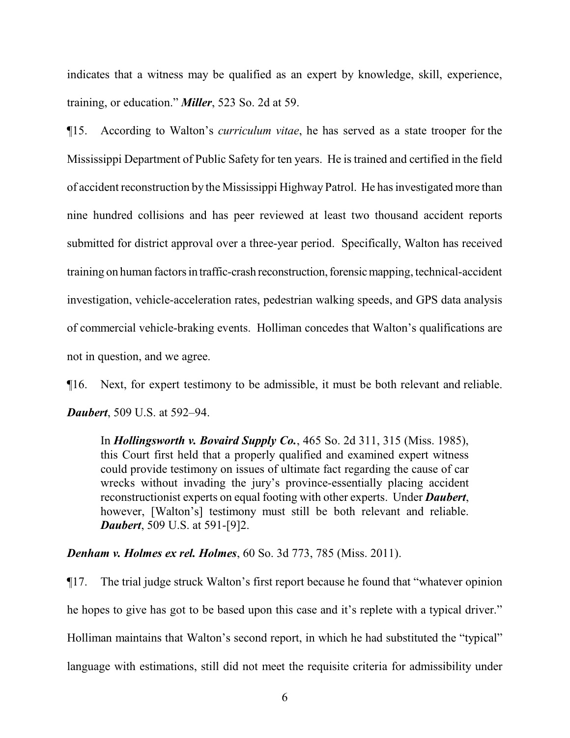indicates that a witness may be qualified as an expert by knowledge, skill, experience, training, or education." *Miller*, 523 So. 2d at 59.

¶15. According to Walton's *curriculum vitae*, he has served as a state trooper for the Mississippi Department of Public Safety for ten years. He is trained and certified in the field of accident reconstruction by the Mississippi Highway Patrol. He hasinvestigated more than nine hundred collisions and has peer reviewed at least two thousand accident reports submitted for district approval over a three-year period. Specifically, Walton has received training on human factors in traffic-crash reconstruction, forensic mapping, technical-accident investigation, vehicle-acceleration rates, pedestrian walking speeds, and GPS data analysis of commercial vehicle-braking events. Holliman concedes that Walton's qualifications are not in question, and we agree.

¶16. Next, for expert testimony to be admissible, it must be both relevant and reliable. *Daubert*, 509 U.S. at 592–94.

In *Hollingsworth v. Bovaird Supply Co.*, 465 So. 2d 311, 315 (Miss. 1985), this Court first held that a properly qualified and examined expert witness could provide testimony on issues of ultimate fact regarding the cause of car wrecks without invading the jury's province-essentially placing accident reconstructionist experts on equal footing with other experts. Under *Daubert*, however, [Walton's] testimony must still be both relevant and reliable. *Daubert*, 509 U.S. at 591-[9]2.

*Denham v. Holmes ex rel. Holmes*, 60 So. 3d 773, 785 (Miss. 2011).

¶17. The trial judge struck Walton's first report because he found that "whatever opinion he hopes to give has got to be based upon this case and it's replete with a typical driver." Holliman maintains that Walton's second report, in which he had substituted the "typical" language with estimations, still did not meet the requisite criteria for admissibility under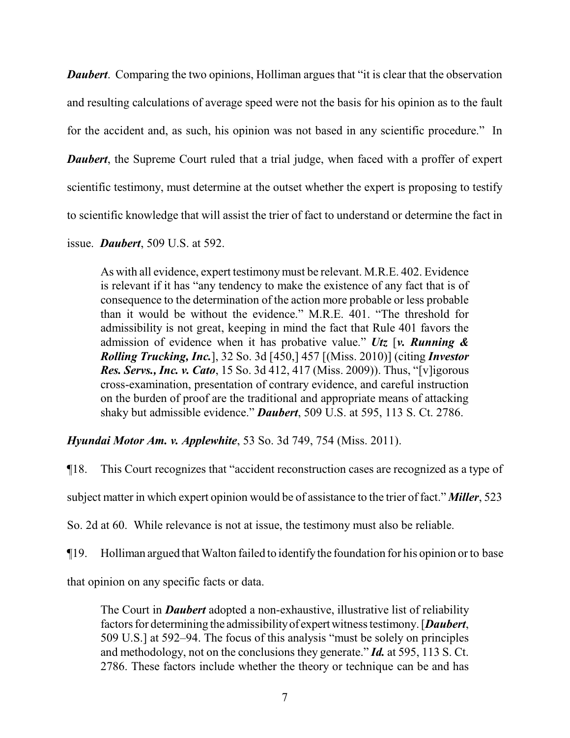*Daubert.* Comparing the two opinions, Holliman argues that "it is clear that the observation and resulting calculations of average speed were not the basis for his opinion as to the fault for the accident and, as such, his opinion was not based in any scientific procedure." In *Daubert*, the Supreme Court ruled that a trial judge, when faced with a proffer of expert scientific testimony, must determine at the outset whether the expert is proposing to testify to scientific knowledge that will assist the trier of fact to understand or determine the fact in

issue. *Daubert*, 509 U.S. at 592.

As with all evidence, expert testimonymust be relevant. M.R.E. 402. Evidence is relevant if it has "any tendency to make the existence of any fact that is of consequence to the determination of the action more probable or less probable than it would be without the evidence." M.R.E. 401. "The threshold for admissibility is not great, keeping in mind the fact that Rule 401 favors the admission of evidence when it has probative value." *Utz* [*v. Running & Rolling Trucking, Inc.*], 32 So. 3d [450,] 457 [(Miss. 2010)] (citing *Investor Res. Servs., Inc. v. Cato*, 15 So. 3d 412, 417 (Miss. 2009)). Thus, "[v]igorous cross-examination, presentation of contrary evidence, and careful instruction on the burden of proof are the traditional and appropriate means of attacking shaky but admissible evidence." *Daubert*, 509 U.S. at 595, 113 S. Ct. 2786.

*Hyundai Motor Am. v. Applewhite*, 53 So. 3d 749, 754 (Miss. 2011).

¶18. This Court recognizes that "accident reconstruction cases are recognized as a type of

subject matter in which expert opinion would be of assistance to the trier of fact." *Miller*, 523

So. 2d at 60. While relevance is not at issue, the testimony must also be reliable.

¶19. Holliman argued that Walton failed to identifythe foundation for his opinion or to base

that opinion on any specific facts or data.

The Court in *Daubert* adopted a non-exhaustive, illustrative list of reliability factors for determining the admissibilityof expertwitness testimony. [*Daubert*, 509 U.S.] at 592–94. The focus of this analysis "must be solely on principles and methodology, not on the conclusions they generate." *Id.* at 595, 113 S. Ct. 2786. These factors include whether the theory or technique can be and has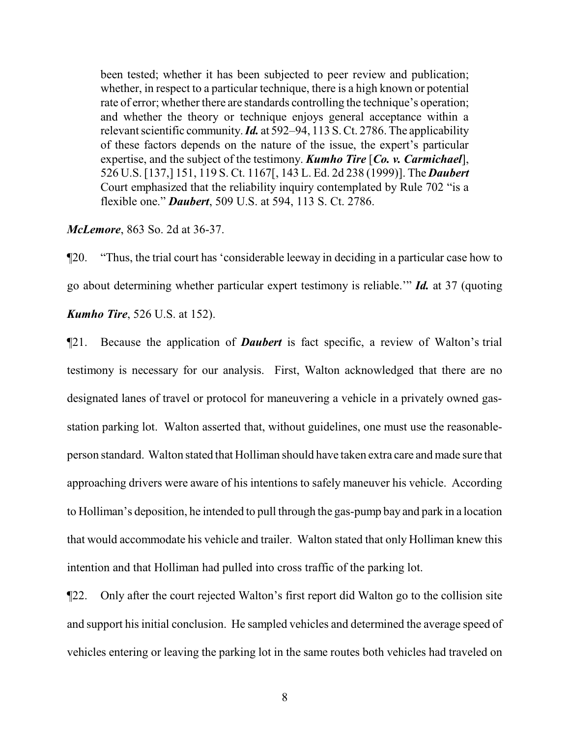been tested; whether it has been subjected to peer review and publication; whether, in respect to a particular technique, there is a high known or potential rate of error; whether there are standards controlling the technique's operation; and whether the theory or technique enjoys general acceptance within a relevant scientific community. *Id.* at 592–94, 113 S. Ct. 2786. The applicability of these factors depends on the nature of the issue, the expert's particular expertise, and the subject of the testimony. *Kumho Tire* [*Co. v. Carmichael*], 526 U.S. [137,] 151, 119 S. Ct. 1167[, 143 L. Ed. 2d 238 (1999)]. The *Daubert* Court emphasized that the reliability inquiry contemplated by Rule 702 "is a flexible one." *Daubert*, 509 U.S. at 594, 113 S. Ct. 2786.

*McLemore*, 863 So. 2d at 36-37.

¶20. "Thus, the trial court has 'considerable leeway in deciding in a particular case how to go about determining whether particular expert testimony is reliable.'" *Id.* at 37 (quoting *Kumho Tire*, 526 U.S. at 152).

¶21. Because the application of *Daubert* is fact specific, a review of Walton's trial testimony is necessary for our analysis. First, Walton acknowledged that there are no designated lanes of travel or protocol for maneuvering a vehicle in a privately owned gasstation parking lot. Walton asserted that, without guidelines, one must use the reasonableperson standard. Walton stated that Holliman should have taken extra care and made sure that approaching drivers were aware of his intentions to safely maneuver his vehicle. According to Holliman's deposition, he intended to pull through the gas-pump bay and park in a location that would accommodate his vehicle and trailer. Walton stated that only Holliman knew this intention and that Holliman had pulled into cross traffic of the parking lot.

¶22. Only after the court rejected Walton's first report did Walton go to the collision site and support his initial conclusion. He sampled vehicles and determined the average speed of vehicles entering or leaving the parking lot in the same routes both vehicles had traveled on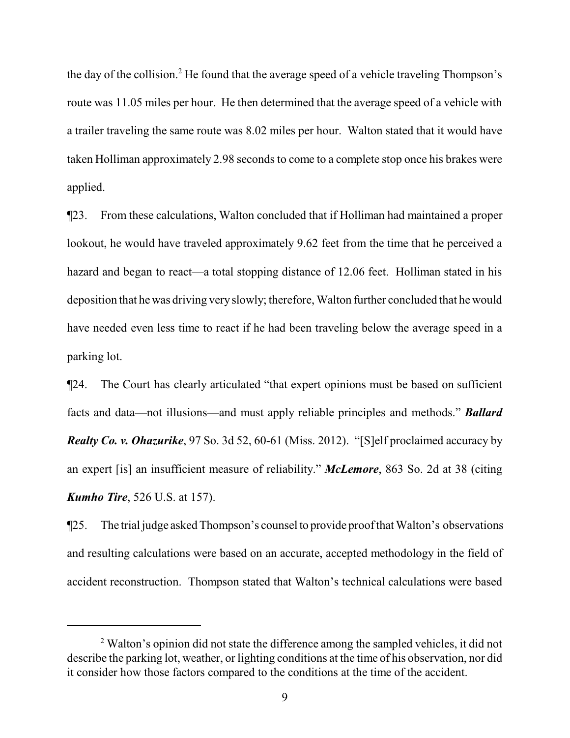the day of the collision.<sup>2</sup> He found that the average speed of a vehicle traveling Thompson's route was 11.05 miles per hour. He then determined that the average speed of a vehicle with a trailer traveling the same route was 8.02 miles per hour. Walton stated that it would have taken Holliman approximately 2.98 seconds to come to a complete stop once his brakes were applied.

¶23. From these calculations, Walton concluded that if Holliman had maintained a proper lookout, he would have traveled approximately 9.62 feet from the time that he perceived a hazard and began to react—a total stopping distance of 12.06 feet. Holliman stated in his deposition that hewas driving veryslowly; therefore, Walton further concluded that he would have needed even less time to react if he had been traveling below the average speed in a parking lot.

¶24. The Court has clearly articulated "that expert opinions must be based on sufficient facts and data—not illusions—and must apply reliable principles and methods." *Ballard Realty Co. v. Ohazurike*, 97 So. 3d 52, 60-61 (Miss. 2012). "[S]elf proclaimed accuracy by an expert [is] an insufficient measure of reliability." *McLemore*, 863 So. 2d at 38 (citing *Kumho Tire*, 526 U.S. at 157).

¶25. The trial judge asked Thompson's counsel to provide proofthat Walton's observations and resulting calculations were based on an accurate, accepted methodology in the field of accident reconstruction. Thompson stated that Walton's technical calculations were based

<sup>&</sup>lt;sup>2</sup> Walton's opinion did not state the difference among the sampled vehicles, it did not describe the parking lot, weather, or lighting conditions at the time of his observation, nor did it consider how those factors compared to the conditions at the time of the accident.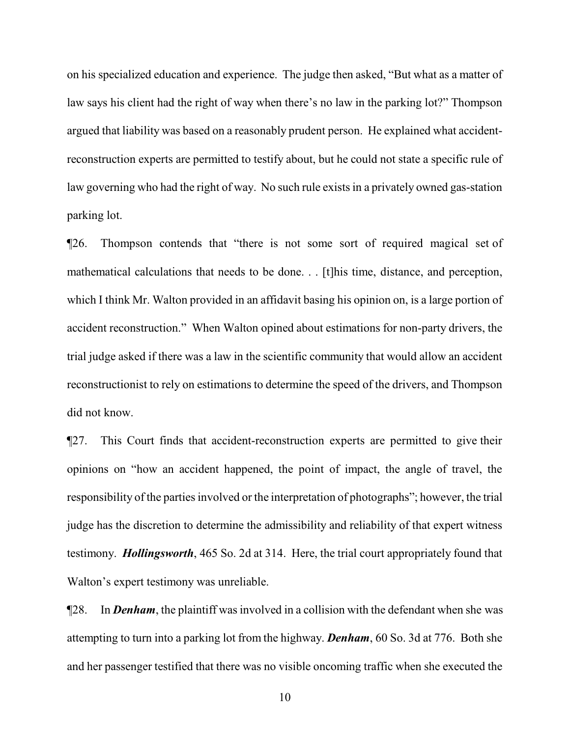on his specialized education and experience. The judge then asked, "But what as a matter of law says his client had the right of way when there's no law in the parking lot?" Thompson argued that liability was based on a reasonably prudent person. He explained what accidentreconstruction experts are permitted to testify about, but he could not state a specific rule of law governing who had the right of way. No such rule exists in a privately owned gas-station parking lot.

¶26. Thompson contends that "there is not some sort of required magical set of mathematical calculations that needs to be done. . . [t]his time, distance, and perception, which I think Mr. Walton provided in an affidavit basing his opinion on, is a large portion of accident reconstruction." When Walton opined about estimations for non-party drivers, the trial judge asked if there was a law in the scientific community that would allow an accident reconstructionist to rely on estimations to determine the speed of the drivers, and Thompson did not know.

¶27. This Court finds that accident-reconstruction experts are permitted to give their opinions on "how an accident happened, the point of impact, the angle of travel, the responsibility of the parties involved or the interpretation of photographs"; however, the trial judge has the discretion to determine the admissibility and reliability of that expert witness testimony. *Hollingsworth*, 465 So. 2d at 314. Here, the trial court appropriately found that Walton's expert testimony was unreliable.

¶28. In *Denham*, the plaintiff was involved in a collision with the defendant when she was attempting to turn into a parking lot from the highway. *Denham*, 60 So. 3d at 776. Both she and her passenger testified that there was no visible oncoming traffic when she executed the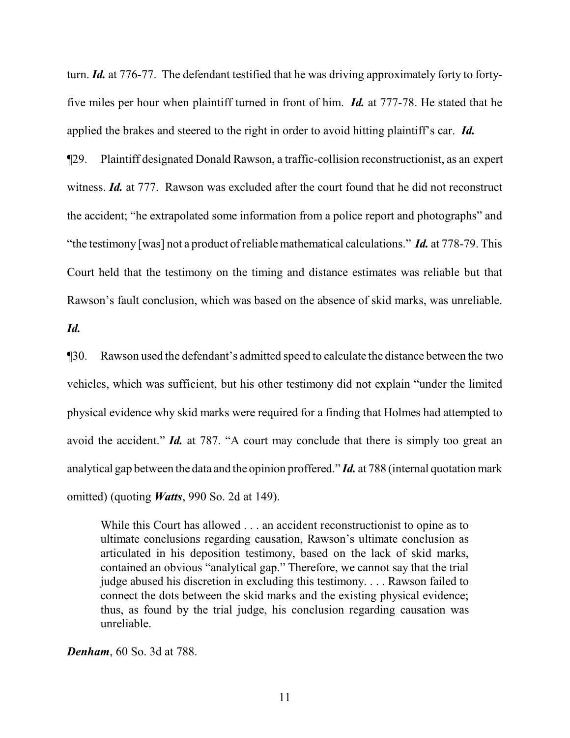turn. *Id.* at 776-77. The defendant testified that he was driving approximately forty to fortyfive miles per hour when plaintiff turned in front of him. *Id.* at 777-78. He stated that he applied the brakes and steered to the right in order to avoid hitting plaintiff's car. *Id.* 

¶29. Plaintiff designated Donald Rawson, a traffic-collision reconstructionist, as an expert witness. *Id.* at 777. Rawson was excluded after the court found that he did not reconstruct the accident; "he extrapolated some information from a police report and photographs" and "the testimony [was] not a product ofreliable mathematical calculations." *Id.* at 778-79. This Court held that the testimony on the timing and distance estimates was reliable but that Rawson's fault conclusion, which was based on the absence of skid marks, was unreliable.

*Id.*

¶30. Rawson used the defendant's admitted speed to calculate the distance between the two vehicles, which was sufficient, but his other testimony did not explain "under the limited physical evidence why skid marks were required for a finding that Holmes had attempted to avoid the accident." *Id.* at 787. "A court may conclude that there is simply too great an analytical gap between the data and the opinion proffered." *Id.* at 788 (internal quotation mark omitted) (quoting *Watts*, 990 So. 2d at 149).

While this Court has allowed . . . an accident reconstructionist to opine as to ultimate conclusions regarding causation, Rawson's ultimate conclusion as articulated in his deposition testimony, based on the lack of skid marks, contained an obvious "analytical gap." Therefore, we cannot say that the trial judge abused his discretion in excluding this testimony. . . . Rawson failed to connect the dots between the skid marks and the existing physical evidence; thus, as found by the trial judge, his conclusion regarding causation was unreliable.

*Denham*, 60 So. 3d at 788.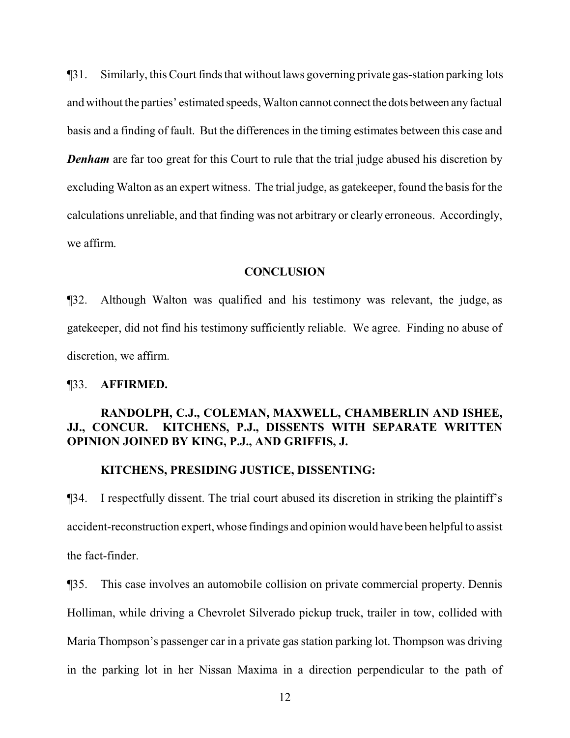¶31. Similarly, this Court finds that without laws governing private gas-station parking lots and without the parties' estimated speeds, Walton cannot connect the dots between anyfactual basis and a finding of fault. But the differences in the timing estimates between this case and **Denham** are far too great for this Court to rule that the trial judge abused his discretion by excluding Walton as an expert witness. The trial judge, as gatekeeper, found the basis for the calculations unreliable, and that finding was not arbitrary or clearly erroneous. Accordingly, we affirm.

## **CONCLUSION**

¶32. Although Walton was qualified and his testimony was relevant, the judge, as gatekeeper, did not find his testimony sufficiently reliable. We agree. Finding no abuse of discretion, we affirm.

#### ¶33. **AFFIRMED.**

# **RANDOLPH, C.J., COLEMAN, MAXWELL, CHAMBERLIN AND ISHEE, JJ., CONCUR. KITCHENS, P.J., DISSENTS WITH SEPARATE WRITTEN OPINION JOINED BY KING, P.J., AND GRIFFIS, J.**

#### **KITCHENS, PRESIDING JUSTICE, DISSENTING:**

¶34. I respectfully dissent. The trial court abused its discretion in striking the plaintiff's accident-reconstruction expert, whose findings and opinion would have been helpful to assist the fact-finder.

¶35. This case involves an automobile collision on private commercial property. Dennis Holliman, while driving a Chevrolet Silverado pickup truck, trailer in tow, collided with Maria Thompson's passenger car in a private gas station parking lot. Thompson was driving in the parking lot in her Nissan Maxima in a direction perpendicular to the path of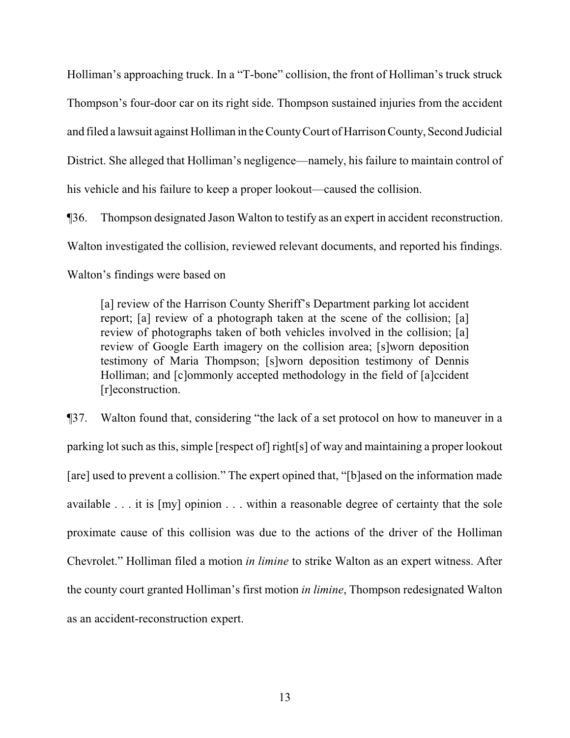Holliman's approaching truck. In a "T-bone" collision, the front of Holliman's truck struck Thompson's four-door car on its right side. Thompson sustained injuries from the accident and filed a lawsuit against Holliman in the CountyCourt of Harrison County, Second Judicial District. She alleged that Holliman's negligence—namely, his failure to maintain control of his vehicle and his failure to keep a proper lookout—caused the collision.

¶36. Thompson designated Jason Walton to testify as an expert in accident reconstruction. Walton investigated the collision, reviewed relevant documents, and reported his findings. Walton's findings were based on

[a] review of the Harrison County Sheriff's Department parking lot accident report; [a] review of a photograph taken at the scene of the collision; [a] review of photographs taken of both vehicles involved in the collision; [a] review of Google Earth imagery on the collision area; [s]worn deposition testimony of Maria Thompson; [s]worn deposition testimony of Dennis Holliman; and [c]ommonly accepted methodology in the field of [a]ccident [r]econstruction.

¶37. Walton found that, considering "the lack of a set protocol on how to maneuver in a parking lot such as this, simple [respect of] right[s] of way and maintaining a proper lookout [are] used to prevent a collision." The expert opined that, "[b]ased on the information made available . . . it is [my] opinion . . . within a reasonable degree of certainty that the sole proximate cause of this collision was due to the actions of the driver of the Holliman Chevrolet." Holliman filed a motion *in limine* to strike Walton as an expert witness. After the county court granted Holliman's first motion *in limine*, Thompson redesignated Walton as an accident-reconstruction expert.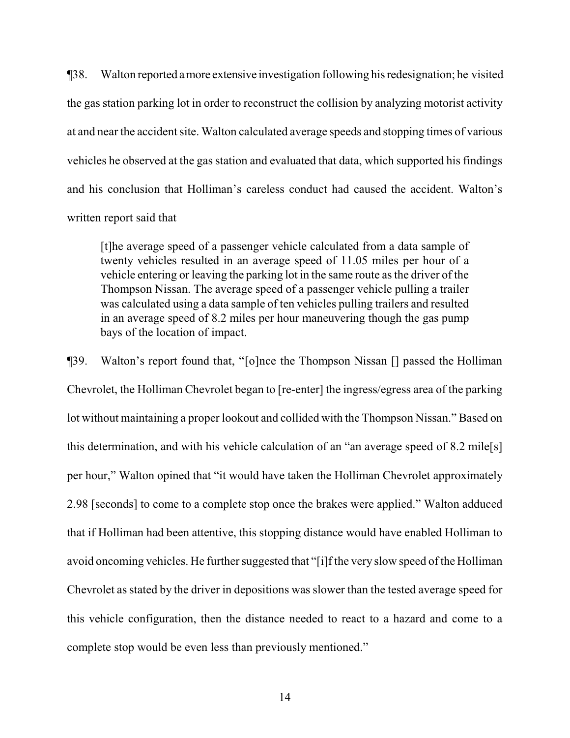¶38. Walton reported amore extensive investigation following his redesignation; he visited the gas station parking lot in order to reconstruct the collision by analyzing motorist activity at and near the accident site. Walton calculated average speeds and stopping times of various vehicles he observed at the gas station and evaluated that data, which supported his findings and his conclusion that Holliman's careless conduct had caused the accident. Walton's written report said that

[t]he average speed of a passenger vehicle calculated from a data sample of twenty vehicles resulted in an average speed of 11.05 miles per hour of a vehicle entering or leaving the parking lot in the same route as the driver of the Thompson Nissan. The average speed of a passenger vehicle pulling a trailer was calculated using a data sample of ten vehicles pulling trailers and resulted in an average speed of 8.2 miles per hour maneuvering though the gas pump bays of the location of impact.

¶39. Walton's report found that, "[o]nce the Thompson Nissan [] passed the Holliman Chevrolet, the Holliman Chevrolet began to [re-enter] the ingress/egress area of the parking lot without maintaining a proper lookout and collided with the Thompson Nissan." Based on this determination, and with his vehicle calculation of an "an average speed of 8.2 mile[s] per hour," Walton opined that "it would have taken the Holliman Chevrolet approximately 2.98 [seconds] to come to a complete stop once the brakes were applied." Walton adduced that if Holliman had been attentive, this stopping distance would have enabled Holliman to avoid oncoming vehicles. He further suggested that "[i]f the very slow speed of the Holliman Chevrolet as stated by the driver in depositions was slower than the tested average speed for this vehicle configuration, then the distance needed to react to a hazard and come to a complete stop would be even less than previously mentioned."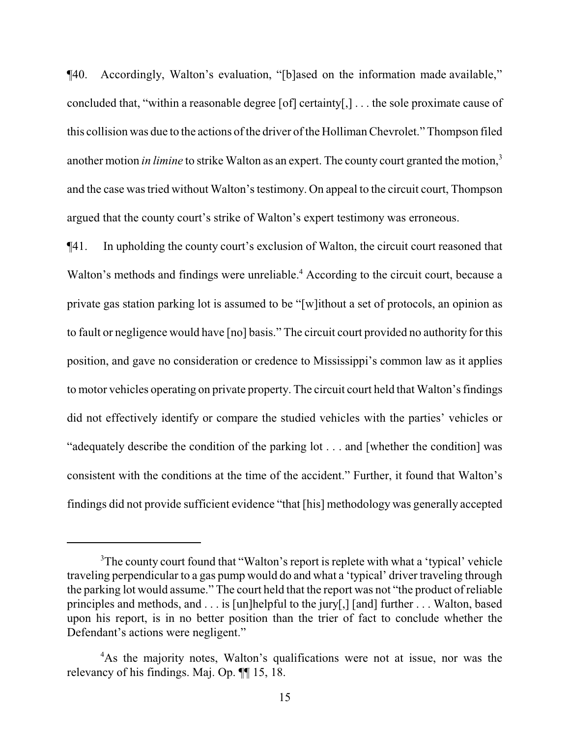¶40. Accordingly, Walton's evaluation, "[b]ased on the information made available," concluded that, "within a reasonable degree [of] certainty[,] . . . the sole proximate cause of this collision was due to the actions of the driver of the Holliman Chevrolet." Thompson filed another motion *in limine* to strike Walton as an expert. The county court granted the motion,<sup>3</sup> and the case was tried without Walton's testimony. On appeal to the circuit court, Thompson argued that the county court's strike of Walton's expert testimony was erroneous.

¶41. In upholding the county court's exclusion of Walton, the circuit court reasoned that Walton's methods and findings were unreliable.<sup>4</sup> According to the circuit court, because a private gas station parking lot is assumed to be "[w]ithout a set of protocols, an opinion as to fault or negligence would have [no] basis." The circuit court provided no authority for this position, and gave no consideration or credence to Mississippi's common law as it applies to motor vehicles operating on private property. The circuit court held that Walton's findings did not effectively identify or compare the studied vehicles with the parties' vehicles or "adequately describe the condition of the parking lot . . . and [whether the condition] was consistent with the conditions at the time of the accident." Further, it found that Walton's findings did not provide sufficient evidence "that [his] methodology was generally accepted

<sup>&</sup>lt;sup>3</sup>The county court found that "Walton's report is replete with what a 'typical' vehicle traveling perpendicular to a gas pump would do and what a 'typical' driver traveling through the parking lot would assume." The court held that the report was not "the product of reliable principles and methods, and . . . is [un]helpful to the jury[,] [and] further . . . Walton, based upon his report, is in no better position than the trier of fact to conclude whether the Defendant's actions were negligent."

<sup>&</sup>lt;sup>4</sup>As the majority notes, Walton's qualifications were not at issue, nor was the relevancy of his findings. Maj. Op. ¶¶ 15, 18.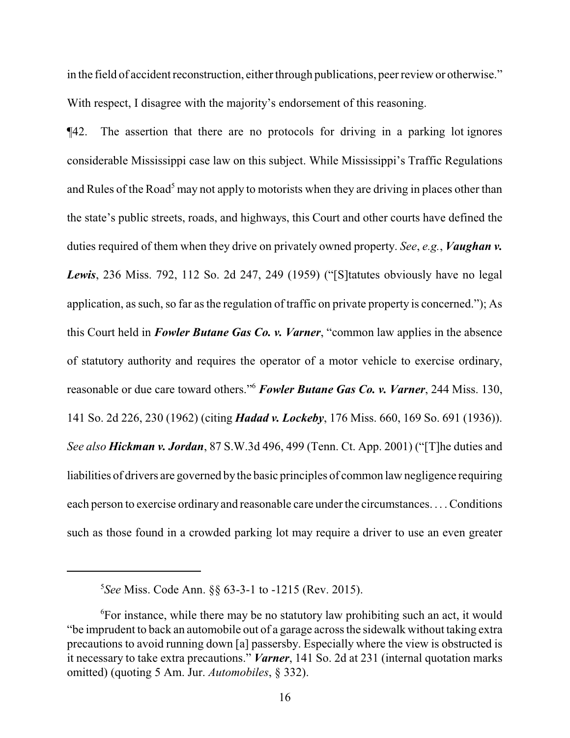in the field of accident reconstruction, either through publications, peer review or otherwise." With respect, I disagree with the majority's endorsement of this reasoning.

¶42. The assertion that there are no protocols for driving in a parking lot ignores considerable Mississippi case law on this subject. While Mississippi's Traffic Regulations and Rules of the Road<sup>5</sup> may not apply to motorists when they are driving in places other than the state's public streets, roads, and highways, this Court and other courts have defined the duties required of them when they drive on privately owned property. *See*, *e.g.*, *Vaughan v. Lewis*, 236 Miss. 792, 112 So. 2d 247, 249 (1959) ("[S]tatutes obviously have no legal application, as such, so far as the regulation of traffic on private property is concerned."); As this Court held in *Fowler Butane Gas Co. v. Varner*, "common law applies in the absence of statutory authority and requires the operator of a motor vehicle to exercise ordinary, reasonable or due care toward others."<sup>6</sup> *Fowler Butane Gas Co. v. Varner*, 244 Miss. 130, 141 So. 2d 226, 230 (1962) (citing *Hadad v. Lockeby*, 176 Miss. 660, 169 So. 691 (1936)). *See also Hickman v. Jordan*, 87 S.W.3d 496, 499 (Tenn. Ct. App. 2001) ("[T]he duties and liabilities of drivers are governed bythe basic principles of common law negligence requiring each person to exercise ordinary and reasonable care under the circumstances. . . .Conditions such as those found in a crowded parking lot may require a driver to use an even greater

<sup>5</sup> *See* Miss. Code Ann. §§ 63-3-1 to -1215 (Rev. 2015).

<sup>&</sup>lt;sup>6</sup>For instance, while there may be no statutory law prohibiting such an act, it would "be imprudent to back an automobile out of a garage across the sidewalk without taking extra precautions to avoid running down [a] passersby. Especially where the view is obstructed is it necessary to take extra precautions." *Varner*, 141 So. 2d at 231 (internal quotation marks omitted) (quoting 5 Am. Jur. *Automobiles*, § 332).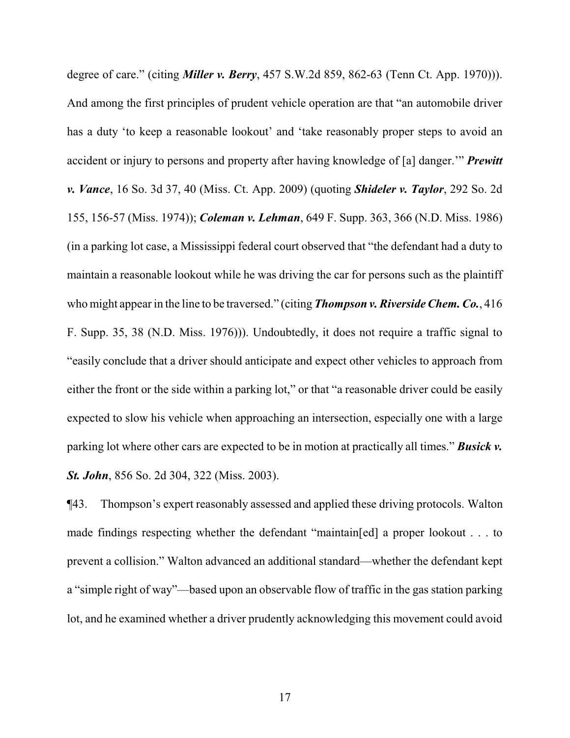degree of care." (citing *Miller v. Berry*, 457 S.W.2d 859, 862-63 (Tenn Ct. App. 1970))). And among the first principles of prudent vehicle operation are that "an automobile driver has a duty 'to keep a reasonable lookout' and 'take reasonably proper steps to avoid an accident or injury to persons and property after having knowledge of [a] danger.'" *Prewitt v. Vance*, 16 So. 3d 37, 40 (Miss. Ct. App. 2009) (quoting *Shideler v. Taylor*, 292 So. 2d 155, 156-57 (Miss. 1974)); *Coleman v. Lehman*, 649 F. Supp. 363, 366 (N.D. Miss. 1986) (in a parking lot case, a Mississippi federal court observed that "the defendant had a duty to maintain a reasonable lookout while he was driving the car for persons such as the plaintiff who might appear in the line to be traversed." (citing *Thompson v. Riverside Chem. Co.*, 416 F. Supp. 35, 38 (N.D. Miss. 1976))). Undoubtedly, it does not require a traffic signal to "easily conclude that a driver should anticipate and expect other vehicles to approach from either the front or the side within a parking lot," or that "a reasonable driver could be easily expected to slow his vehicle when approaching an intersection, especially one with a large parking lot where other cars are expected to be in motion at practically all times." *Busick v. St. John*, 856 So. 2d 304, 322 (Miss. 2003).

¶43. Thompson's expert reasonably assessed and applied these driving protocols. Walton made findings respecting whether the defendant "maintain[ed] a proper lookout . . . to prevent a collision." Walton advanced an additional standard—whether the defendant kept a "simple right of way"—based upon an observable flow of traffic in the gas station parking lot, and he examined whether a driver prudently acknowledging this movement could avoid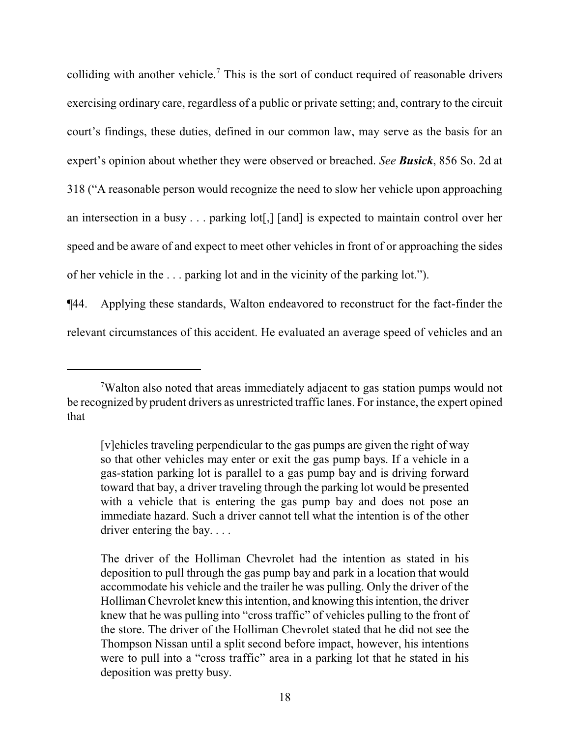colliding with another vehicle.<sup>7</sup> This is the sort of conduct required of reasonable drivers exercising ordinary care, regardless of a public or private setting; and, contrary to the circuit court's findings, these duties, defined in our common law, may serve as the basis for an expert's opinion about whether they were observed or breached. *See Busick*, 856 So. 2d at 318 ("A reasonable person would recognize the need to slow her vehicle upon approaching an intersection in a busy . . . parking lot[,] [and] is expected to maintain control over her speed and be aware of and expect to meet other vehicles in front of or approaching the sides of her vehicle in the . . . parking lot and in the vicinity of the parking lot.").

¶44. Applying these standards, Walton endeavored to reconstruct for the fact-finder the relevant circumstances of this accident. He evaluated an average speed of vehicles and an

<sup>7</sup>Walton also noted that areas immediately adjacent to gas station pumps would not be recognized by prudent drivers as unrestricted traffic lanes. For instance, the expert opined that

<sup>[</sup>v]ehicles traveling perpendicular to the gas pumps are given the right of way so that other vehicles may enter or exit the gas pump bays. If a vehicle in a gas-station parking lot is parallel to a gas pump bay and is driving forward toward that bay, a driver traveling through the parking lot would be presented with a vehicle that is entering the gas pump bay and does not pose an immediate hazard. Such a driver cannot tell what the intention is of the other driver entering the bay. . . .

The driver of the Holliman Chevrolet had the intention as stated in his deposition to pull through the gas pump bay and park in a location that would accommodate his vehicle and the trailer he was pulling. Only the driver of the Holliman Chevrolet knew this intention, and knowing this intention, the driver knew that he was pulling into "cross traffic" of vehicles pulling to the front of the store. The driver of the Holliman Chevrolet stated that he did not see the Thompson Nissan until a split second before impact, however, his intentions were to pull into a "cross traffic" area in a parking lot that he stated in his deposition was pretty busy.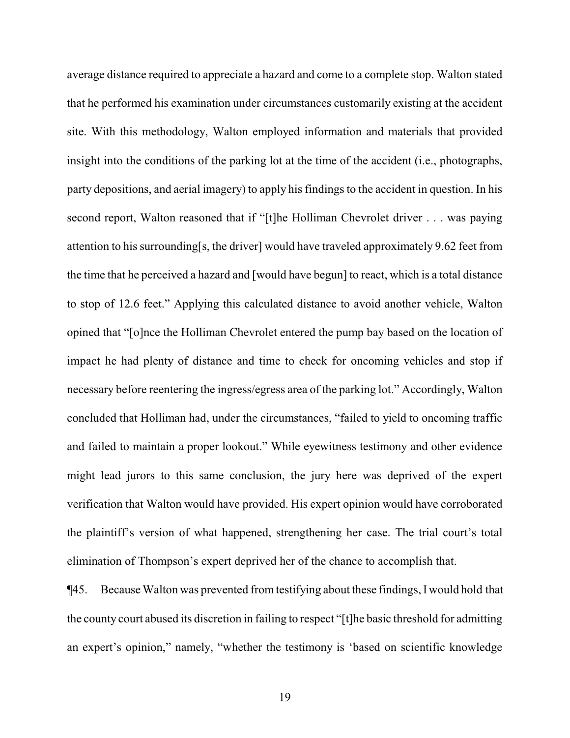average distance required to appreciate a hazard and come to a complete stop. Walton stated that he performed his examination under circumstances customarily existing at the accident site. With this methodology, Walton employed information and materials that provided insight into the conditions of the parking lot at the time of the accident (i.e., photographs, party depositions, and aerial imagery) to apply his findings to the accident in question. In his second report, Walton reasoned that if "[t]he Holliman Chevrolet driver . . . was paying attention to his surrounding[s, the driver] would have traveled approximately 9.62 feet from the time that he perceived a hazard and [would have begun] to react, which is a total distance to stop of 12.6 feet." Applying this calculated distance to avoid another vehicle, Walton opined that "[o]nce the Holliman Chevrolet entered the pump bay based on the location of impact he had plenty of distance and time to check for oncoming vehicles and stop if necessary before reentering the ingress/egress area of the parking lot." Accordingly, Walton concluded that Holliman had, under the circumstances, "failed to yield to oncoming traffic and failed to maintain a proper lookout." While eyewitness testimony and other evidence might lead jurors to this same conclusion, the jury here was deprived of the expert verification that Walton would have provided. His expert opinion would have corroborated the plaintiff's version of what happened, strengthening her case. The trial court's total elimination of Thompson's expert deprived her of the chance to accomplish that.

¶45. Because Walton was prevented from testifying about these findings, I would hold that the county court abused its discretion in failing to respect "[t]he basic threshold for admitting an expert's opinion," namely, "whether the testimony is 'based on scientific knowledge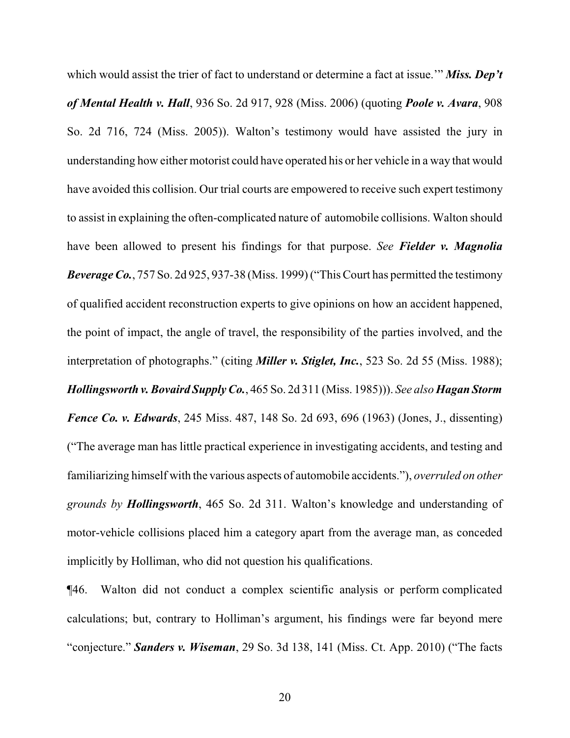which would assist the trier of fact to understand or determine a fact at issue.'" *Miss. Dep't of Mental Health v. Hall*, 936 So. 2d 917, 928 (Miss. 2006) (quoting *Poole v. Avara*, 908 So. 2d 716, 724 (Miss. 2005)). Walton's testimony would have assisted the jury in understanding how either motorist could have operated his or her vehicle in a way that would have avoided this collision. Our trial courts are empowered to receive such expert testimony to assist in explaining the often-complicated nature of automobile collisions. Walton should have been allowed to present his findings for that purpose. *See Fielder v. Magnolia Beverage Co.*, 757 So. 2d 925, 937-38 (Miss. 1999) ("This Court has permitted the testimony of qualified accident reconstruction experts to give opinions on how an accident happened, the point of impact, the angle of travel, the responsibility of the parties involved, and the interpretation of photographs." (citing *Miller v. Stiglet, Inc.*, 523 So. 2d 55 (Miss. 1988); *Hollingsworth v. Bovaird Supply Co.*, 465 So. 2d 311 (Miss. 1985))). *See also Hagan Storm Fence Co. v. Edwards*, 245 Miss. 487, 148 So. 2d 693, 696 (1963) (Jones, J., dissenting) ("The average man has little practical experience in investigating accidents, and testing and familiarizing himself with the various aspects of automobile accidents."), *overruled on other grounds by Hollingsworth*, 465 So. 2d 311. Walton's knowledge and understanding of motor-vehicle collisions placed him a category apart from the average man, as conceded implicitly by Holliman, who did not question his qualifications.

¶46. Walton did not conduct a complex scientific analysis or perform complicated calculations; but, contrary to Holliman's argument, his findings were far beyond mere "conjecture." *Sanders v. Wiseman*, 29 So. 3d 138, 141 (Miss. Ct. App. 2010) ("The facts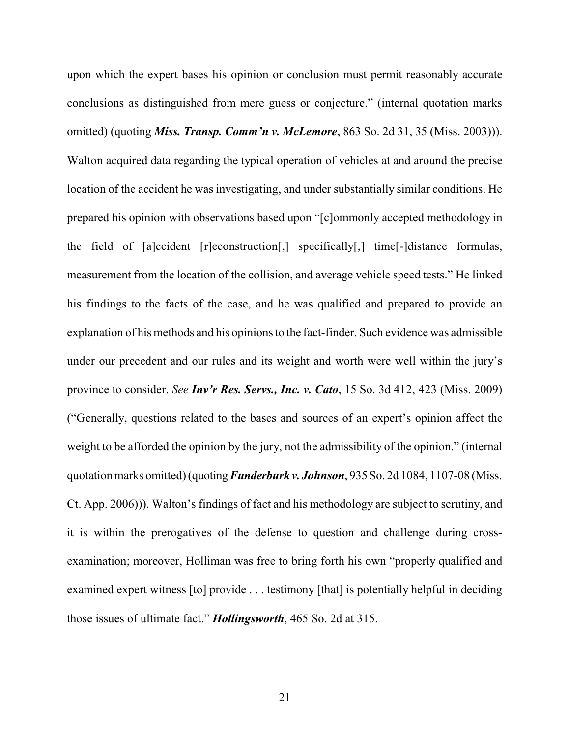upon which the expert bases his opinion or conclusion must permit reasonably accurate conclusions as distinguished from mere guess or conjecture." (internal quotation marks omitted) (quoting *Miss. Transp. Comm'n v. McLemore*, 863 So. 2d 31, 35 (Miss. 2003))). Walton acquired data regarding the typical operation of vehicles at and around the precise location of the accident he was investigating, and under substantially similar conditions. He prepared his opinion with observations based upon "[c]ommonly accepted methodology in the field of [a]ccident [r]econstruction[,] specifically[,] time[-]distance formulas, measurement from the location of the collision, and average vehicle speed tests." He linked his findings to the facts of the case, and he was qualified and prepared to provide an explanation of his methods and his opinions to the fact-finder. Such evidence was admissible under our precedent and our rules and its weight and worth were well within the jury's province to consider. *See Inv'r Res. Servs., Inc. v. Cato*, 15 So. 3d 412, 423 (Miss. 2009) ("Generally, questions related to the bases and sources of an expert's opinion affect the weight to be afforded the opinion by the jury, not the admissibility of the opinion." (internal quotation marks omitted) (quoting*Funderburk v. Johnson*, 935 So. 2d 1084, 1107-08 (Miss. Ct. App. 2006))). Walton's findings of fact and his methodology are subject to scrutiny, and it is within the prerogatives of the defense to question and challenge during crossexamination; moreover, Holliman was free to bring forth his own "properly qualified and examined expert witness [to] provide . . . testimony [that] is potentially helpful in deciding those issues of ultimate fact." *Hollingsworth*, 465 So. 2d at 315.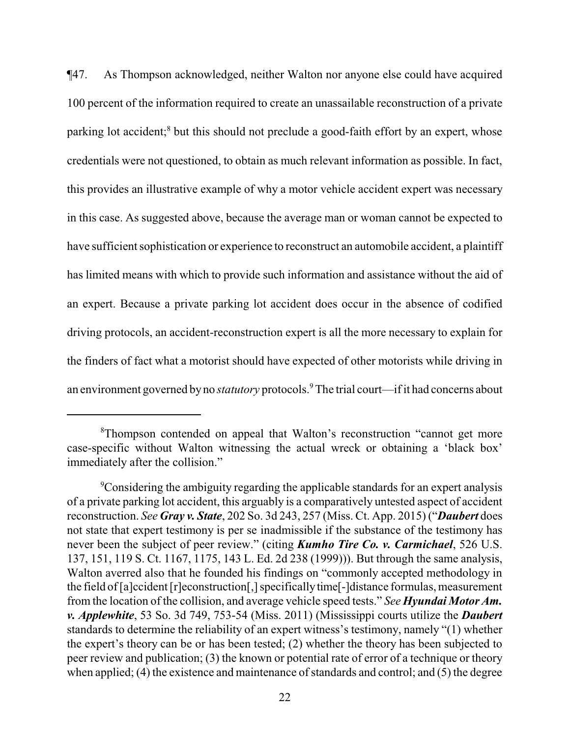¶47. As Thompson acknowledged, neither Walton nor anyone else could have acquired 100 percent of the information required to create an unassailable reconstruction of a private parking lot accident;<sup>8</sup> but this should not preclude a good-faith effort by an expert, whose credentials were not questioned, to obtain as much relevant information as possible. In fact, this provides an illustrative example of why a motor vehicle accident expert was necessary in this case. As suggested above, because the average man or woman cannot be expected to have sufficient sophistication or experience to reconstruct an automobile accident, a plaintiff has limited means with which to provide such information and assistance without the aid of an expert. Because a private parking lot accident does occur in the absence of codified driving protocols, an accident-reconstruction expert is all the more necessary to explain for the finders of fact what a motorist should have expected of other motorists while driving in an environment governed byno *statutory* protocols.<sup>9</sup>The trial court—if it had concerns about

<sup>&</sup>lt;sup>8</sup>Thompson contended on appeal that Walton's reconstruction "cannot get more" case-specific without Walton witnessing the actual wreck or obtaining a 'black box' immediately after the collision."

<sup>&</sup>lt;sup>9</sup>Considering the ambiguity regarding the applicable standards for an expert analysis of a private parking lot accident, this arguably is a comparatively untested aspect of accident reconstruction. *See Gray v. State*, 202 So. 3d 243, 257 (Miss. Ct. App. 2015) ("*Daubert* does not state that expert testimony is per se inadmissible if the substance of the testimony has never been the subject of peer review." (citing *Kumho Tire Co. v. Carmichael*, 526 U.S. 137, 151, 119 S. Ct. 1167, 1175, 143 L. Ed. 2d 238 (1999))). But through the same analysis, Walton averred also that he founded his findings on "commonly accepted methodology in the field of[a]ccident [r]econstruction[,] specificallytime[-]distance formulas, measurement from the location of the collision, and average vehicle speed tests." *See Hyundai Motor Am. v. Applewhite*, 53 So. 3d 749, 753-54 (Miss. 2011) (Mississippi courts utilize the *Daubert* standards to determine the reliability of an expert witness's testimony, namely "(1) whether the expert's theory can be or has been tested; (2) whether the theory has been subjected to peer review and publication; (3) the known or potential rate of error of a technique or theory when applied;  $(4)$  the existence and maintenance of standards and control; and  $(5)$  the degree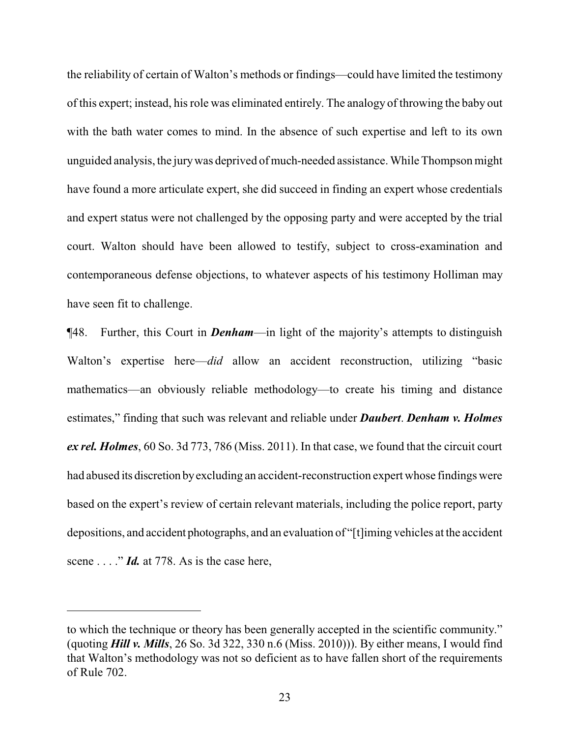the reliability of certain of Walton's methods or findings—could have limited the testimony of this expert; instead, his role was eliminated entirely. The analogy of throwing the baby out with the bath water comes to mind. In the absence of such expertise and left to its own unguided analysis, the jurywas deprived of much-needed assistance. While Thompson might have found a more articulate expert, she did succeed in finding an expert whose credentials and expert status were not challenged by the opposing party and were accepted by the trial court. Walton should have been allowed to testify, subject to cross-examination and contemporaneous defense objections, to whatever aspects of his testimony Holliman may have seen fit to challenge.

¶48. Further, this Court in *Denham*—in light of the majority's attempts to distinguish Walton's expertise here—*did* allow an accident reconstruction, utilizing "basic mathematics—an obviously reliable methodology—to create his timing and distance estimates," finding that such was relevant and reliable under *Daubert*. *Denham v. Holmes ex rel. Holmes*, 60 So. 3d 773, 786 (Miss. 2011). In that case, we found that the circuit court had abused its discretion byexcluding an accident-reconstruction expert whose findings were based on the expert's review of certain relevant materials, including the police report, party depositions, and accident photographs, and an evaluation of "[t]iming vehicles at the accident scene . . . ." *Id.* at 778. As is the case here,

to which the technique or theory has been generally accepted in the scientific community." (quoting *Hill v. Mills*, 26 So. 3d 322, 330 n.6 (Miss. 2010))). By either means, I would find that Walton's methodology was not so deficient as to have fallen short of the requirements of Rule 702.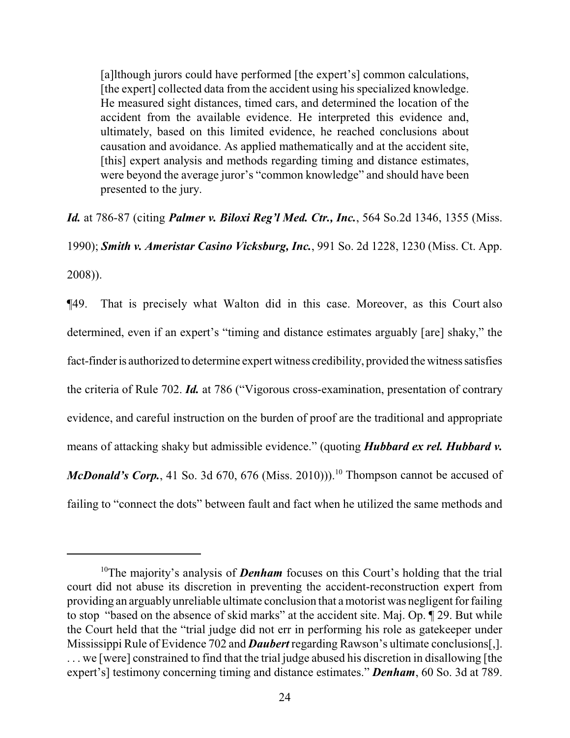[a]lthough jurors could have performed [the expert's] common calculations, [the expert] collected data from the accident using his specialized knowledge. He measured sight distances, timed cars, and determined the location of the accident from the available evidence. He interpreted this evidence and, ultimately, based on this limited evidence, he reached conclusions about causation and avoidance. As applied mathematically and at the accident site, [this] expert analysis and methods regarding timing and distance estimates, were beyond the average juror's "common knowledge" and should have been presented to the jury.

*Id.* at 786-87 (citing *Palmer v. Biloxi Reg'l Med. Ctr., Inc.*, 564 So.2d 1346, 1355 (Miss.

1990); *Smith v. Ameristar Casino Vicksburg, Inc.*, 991 So. 2d 1228, 1230 (Miss. Ct. App.

2008)).

¶49. That is precisely what Walton did in this case. Moreover, as this Court also determined, even if an expert's "timing and distance estimates arguably [are] shaky," the fact-finder is authorized to determine expert witness credibility, provided the witness satisfies the criteria of Rule 702. *Id.* at 786 ("Vigorous cross-examination, presentation of contrary evidence, and careful instruction on the burden of proof are the traditional and appropriate means of attacking shaky but admissible evidence." (quoting *Hubbard ex rel. Hubbard v. McDonald's Corp.*, 41 So. 3d 670, 676 (Miss. 2010)).<sup>10</sup> Thompson cannot be accused of failing to "connect the dots" between fault and fact when he utilized the same methods and

<sup>&</sup>lt;sup>10</sup>The majority's analysis of **Denham** focuses on this Court's holding that the trial court did not abuse its discretion in preventing the accident-reconstruction expert from providing an arguably unreliable ultimate conclusion that amotorist was negligent for failing to stop "based on the absence of skid marks" at the accident site. Maj. Op. ¶ 29. But while the Court held that the "trial judge did not err in performing his role as gatekeeper under Mississippi Rule of Evidence 702 and *Daubert* regarding Rawson's ultimate conclusions[,]. . . . we [were] constrained to find that the trial judge abused his discretion in disallowing [the expert's] testimony concerning timing and distance estimates." *Denham*, 60 So. 3d at 789.